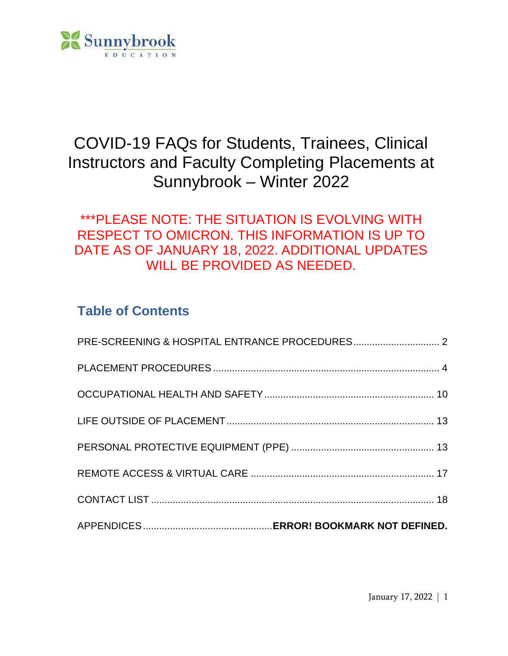

# COVID-19 FAQs for Students, Trainees, Clinical Instructors and Faculty Completing Placements at Sunnybrook – Winter 2022

# \*\*\*PLEASE NOTE: THE SITUATION IS EVOLVING WITH RESPECT TO OMICRON. THIS INFORMATION IS UP TO DATE AS OF JANUARY 18, 2022. ADDITIONAL UPDATES WILL BE PROVIDED AS NEEDED.

# **Table of Contents**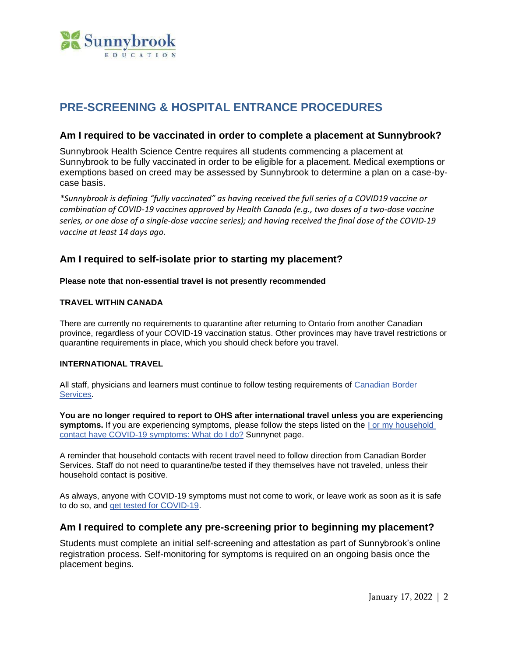

# <span id="page-1-0"></span>**PRE-SCREENING & HOSPITAL ENTRANCE PROCEDURES**

#### **Am I required to be vaccinated in order to complete a placement at Sunnybrook?**

Sunnybrook Health Science Centre requires all students commencing a placement at Sunnybrook to be fully vaccinated in order to be eligible for a placement. Medical exemptions or exemptions based on creed may be assessed by Sunnybrook to determine a plan on a case-bycase basis.

*\*Sunnybrook is defining "fully vaccinated" as having received the full series of a COVID19 vaccine or combination of COVID-19 vaccines approved by Health Canada (e.g., two doses of a two-dose vaccine series, or one dose of a single-dose vaccine series); and having received the final dose of the COVID-19 vaccine at least 14 days ago.*

# **Am I required to self-isolate prior to starting my placement?**

**Please note that non-essential travel is not presently recommended**

#### **TRAVEL WITHIN CANADA**

There are currently no requirements to quarantine after returning to Ontario from another Canadian province, regardless of your COVID-19 vaccination status. Other provinces may have travel restrictions or quarantine requirements in place, which you should check before you travel.

#### **INTERNATIONAL TRAVEL**

All staff, physicians and learners must continue to follow testing requirements of [Canadian](https://www.cbsa-asfc.gc.ca/services/covid/menu-eng.html) Border [Services.](https://www.cbsa-asfc.gc.ca/services/covid/menu-eng.html)

**You are no longer required to report to OHS after international travel unless you are experiencing symptoms.** If you are experiencing symptoms, please follow the steps listed on the I or my [household](https://sunnynet.ca/Default.aspx?cid=130292&lang=1) contact have COVID-19 [symptoms:](https://sunnynet.ca/Default.aspx?cid=130292&lang=1) What do I do? Sunnynet page.

A reminder that household contacts with recent travel need to follow direction from Canadian Border Services. Staff do not need to quarantine/be tested if they themselves have not traveled, unless their household contact is positive.

As always, anyone with COVID-19 symptoms must not come to work, or leave work as soon as it is safe to do so, and get tested for [COVID-19.](https://sunnynet.ca/default.aspx?cid=130310)

#### **Am I required to complete any pre-screening prior to beginning my placement?**

Students must complete an initial self-screening and attestation as part of Sunnybrook's online registration process. Self-monitoring for symptoms is required on an ongoing basis once the placement begins.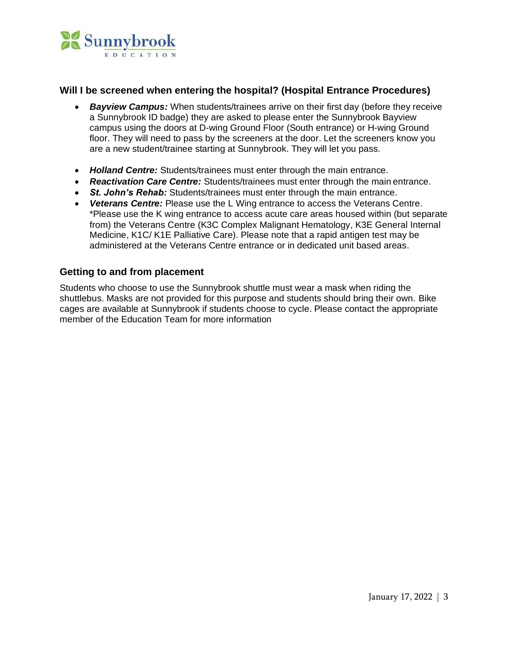

# **Will I be screened when entering the hospital? (Hospital Entrance Procedures)**

- *Bayview Campus:* When students/trainees arrive on their first day (before they receive a Sunnybrook ID badge) they are asked to please enter the Sunnybrook Bayview campus using the doors at D-wing Ground Floor (South entrance) or H-wing Ground floor. They will need to pass by the screeners at the door. Let the screeners know you are a new student/trainee starting at Sunnybrook. They will let you pass.
- *Holland Centre:* Students/trainees must enter through the main entrance.
- *Reactivation Care Centre:* Students/trainees must enter through the main entrance.
- *St. John's Rehab:* Students/trainees must enter through the main entrance.
- *Veterans Centre:* Please use the L Wing entrance to access the Veterans Centre. \*Please use the K wing entrance to access acute care areas housed within (but separate from) the Veterans Centre (K3C Complex Malignant Hematology, K3E General Internal Medicine, K1C/ K1E Palliative Care). Please note that a rapid antigen test may be administered at the Veterans Centre entrance or in dedicated unit based areas.

# **Getting to and from placement**

Students who choose to use the Sunnybrook shuttle must wear a mask when riding the shuttlebus. Masks are not provided for this purpose and students should bring their own. Bike cages are available at Sunnybrook if students choose to cycle. Please contact the appropriate member of the Education Team for more information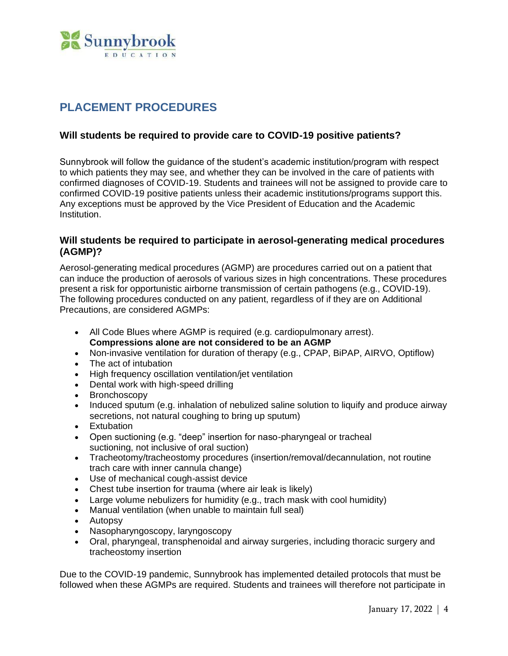

# <span id="page-3-0"></span>**PLACEMENT PROCEDURES**

# **Will students be required to provide care to COVID-19 positive patients?**

Sunnybrook will follow the guidance of the student's academic institution/program with respect to which patients they may see, and whether they can be involved in the care of patients with confirmed diagnoses of COVID-19. Students and trainees will not be assigned to provide care to confirmed COVID-19 positive patients unless their academic institutions/programs support this. Any exceptions must be approved by the Vice President of Education and the Academic Institution.

# **Will students be required to participate in aerosol-generating medical procedures (AGMP)?**

Aerosol-generating medical procedures (AGMP) are procedures carried out on a patient that can induce the production of aerosols of various sizes in high concentrations. These procedures present a risk for opportunistic airborne transmission of certain pathogens (e.g., COVID-19). The following procedures conducted on any patient, regardless of if they are on Additional Precautions, are considered AGMPs:

- All Code Blues where AGMP is required (e.g. cardiopulmonary arrest). **Compressions alone are not considered to be an AGMP**
- Non-invasive ventilation for duration of therapy (e.g., CPAP, BiPAP, AIRVO, Optiflow)
- The act of intubation
- High frequency oscillation ventilation/jet ventilation
- Dental work with high-speed drilling
- Bronchoscopy
- Induced sputum (e.g. inhalation of nebulized saline solution to liquify and produce airway secretions, not natural coughing to bring up sputum)
- Extubation
- Open suctioning (e.g. "deep" insertion for naso-pharyngeal or tracheal suctioning, not inclusive of oral suction)
- Tracheotomy/tracheostomy procedures (insertion/removal/decannulation, not routine trach care with inner cannula change)
- Use of mechanical cough-assist device
- Chest tube insertion for trauma (where air leak is likely)
- Large volume nebulizers for humidity (e.g., trach mask with cool humidity)
- Manual ventilation (when unable to maintain full seal)
- Autopsy
- Nasopharyngoscopy, laryngoscopy
- Oral, pharyngeal, transphenoidal and airway surgeries, including thoracic surgery and tracheostomy insertion

Due to the COVID-19 pandemic, Sunnybrook has implemented detailed protocols that must be followed when these AGMPs are required. Students and trainees will therefore not participate in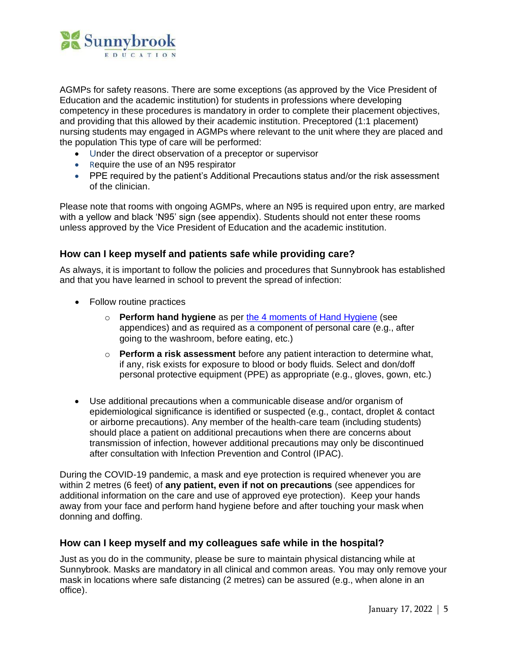

AGMPs for safety reasons. There are some exceptions (as approved by the Vice President of Education and the academic institution) for students in professions where developing competency in these procedures is mandatory in order to complete their placement objectives, and providing that this allowed by their academic institution. Preceptored (1:1 placement) nursing students may engaged in AGMPs where relevant to the unit where they are placed and the population This type of care will be performed:

- Under the direct observation of a preceptor or supervisor
- Require the use of an N95 respirator
- PPE required by the patient's Additional Precautions status and/or the risk assessment of the clinician.

Please note that rooms with ongoing AGMPs, where an N95 is required upon entry, are marked with a yellow and black 'N95' sign (see appendix). Students should not enter these rooms unless approved by the Vice President of Education and the academic institution.

# **How can I keep myself and patients safe while providing care?**

As always, it is important to follow the policies and procedures that Sunnybrook has established and that you have learned in school to prevent the spread of infection:

- Follow routine practices
	- o **Perform hand hygiene** as per [the 4 moments of Hand Hygiene](https://www.publichealthontario.ca/-/media/documents/9/2008/4-moments-poster-series.pdf?la=en) (see appendices) and as required as a component of personal care (e.g., after going to the washroom, before eating, etc.)
	- o **Perform a risk assessment** before any patient interaction to determine what, if any, risk exists for exposure to blood or body fluids. Select and don/doff personal protective equipment (PPE) as appropriate (e.g., gloves, gown, etc.)
- Use additional precautions when a communicable disease and/or organism of epidemiological significance is identified or suspected (e.g., contact, droplet & contact or airborne precautions). Any member of the health-care team (including students) should place a patient on additional precautions when there are concerns about transmission of infection, however additional precautions may only be discontinued after consultation with Infection Prevention and Control (IPAC).

During the COVID-19 pandemic, a mask and eye protection is required whenever you are within 2 metres (6 feet) of **any patient, even if not on precautions** (see appendices for additional information on the care and use of approved eye protection). Keep your hands away from your face and perform hand hygiene before and after touching your mask when donning and doffing.

# **How can I keep myself and my colleagues safe while in the hospital?**

Just as you do in the community, please be sure to maintain physical distancing while at Sunnybrook. Masks are mandatory in all clinical and common areas. You may only remove your mask in locations where safe distancing (2 metres) can be assured (e.g., when alone in an office).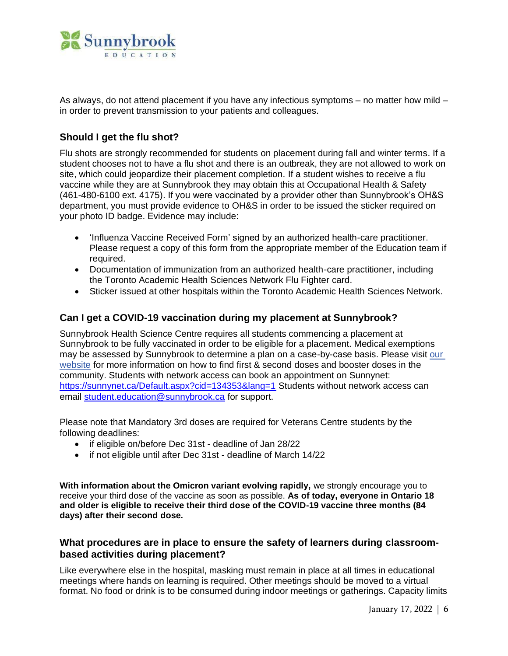

As always, do not attend placement if you have any infectious symptoms – no matter how mild – in order to prevent transmission to your patients and colleagues.

# **Should I get the flu shot?**

Flu shots are strongly recommended for students on placement during fall and winter terms. If a student chooses not to have a flu shot and there is an outbreak, they are not allowed to work on site, which could jeopardize their placement completion. If a student wishes to receive a flu vaccine while they are at Sunnybrook they may obtain this at Occupational Health & Safety (461-480-6100 ext. 4175). If you were vaccinated by a provider other than Sunnybrook's OH&S department, you must provide evidence to OH&S in order to be issued the sticker required on your photo ID badge. Evidence may include:

- ['Influenza Vaccine Received Form'](https://sunnybrook.ca/uploads/1/_education/students-residents-fellows/student-welcome-guide/19547_influenza_vaccine_received_form_2015_acc.pdf) signed by an authorized health-care practitioner. Please request a copy of this form from the appropriate member of the Education team if required.
- Documentation of immunization from an authorized health-care practitioner, including the Toronto Academic Health Sciences Network Flu Fighter card.
- Sticker issued at other hospitals within the Toronto Academic Health Sciences Network.

# **Can I get a COVID-19 vaccination during my placement at Sunnybrook?**

Sunnybrook Health Science Centre requires all students commencing a placement at Sunnybrook to be fully vaccinated in order to be eligible for a placement. Medical exemptions may be assessed by Sunnybrook to determine a plan on a case-by-case basis. Please visit [our](https://sunnybrook.ca/content/?page=novel-coronavirus-covid-19-vaccine-to-resource) [website](https://sunnybrook.ca/content/?page=novel-coronavirus-covid-19-vaccine-to-resource) for more information on how to find first & second doses and booster doses in the community. Students with network access can book an appointment on Sunnynet: <https://sunnynet.ca/Default.aspx?cid=134353&lang=1> Students without network access can email [student.education@sunnybrook.ca](mailto:student.education@sunnybrook.ca) for support.

Please note that Mandatory 3rd doses are required for Veterans Centre students by the following deadlines:

- if eligible on/before Dec 31st deadline of Jan 28/22
- if not eligible until after Dec 31st deadline of March 14/22

**With information about the Omicron variant evolving rapidly,** we strongly encourage you to receive your third dose of the vaccine as soon as possible. **As of today, everyone in Ontario 18 and older is eligible to receive their third dose of the COVID-19 vaccine three months (84 days) after their second dose.**

# **What procedures are in place to ensure the safety of learners during classroombased activities during placement?**

Like everywhere else in the hospital, masking must remain in place at all times in educational meetings where hands on learning is required. Other meetings should be moved to a virtual format. No food or drink is to be consumed during indoor meetings or gatherings. Capacity limits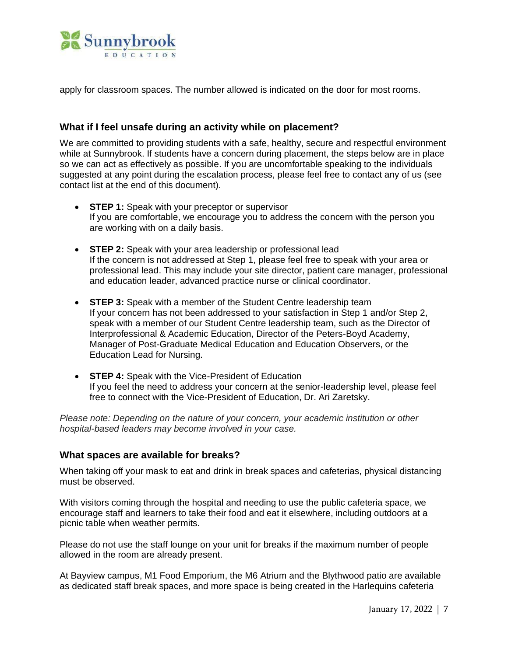

apply for classroom spaces. The number allowed is indicated on the door for most rooms.

# **What if I feel unsafe during an activity while on placement?**

We are committed to providing students with a safe, healthy, secure and respectful environment while at Sunnybrook. If students have a concern during placement, the steps below are in place so we can act as effectively as possible. If you are uncomfortable speaking to the individuals suggested at any point during the escalation process, please feel free to contact any of us (see contact list at the end of this document).

- **STEP 1:** Speak with your preceptor or supervisor If you are comfortable, we encourage you to address the concern with the person you are working with on a daily basis.
- **STEP 2:** Speak with your area leadership or professional lead If the concern is not addressed at Step 1, please feel free to speak with your area or professional lead. This may include your site director, patient care manager, professional and education leader, advanced practice nurse or clinical coordinator.
- **STEP 3:** Speak with a member of the Student Centre leadership team If your concern has not been addressed to your satisfaction in Step 1 and/or Step 2, speak with a member of our Student Centre leadership team, such as the Director of Interprofessional & Academic Education, Director of the Peters-Boyd Academy, Manager of Post-Graduate Medical Education and Education Observers, or the Education Lead for Nursing.
- **STEP 4:** Speak with the Vice-President of Education If you feel the need to address your concern at the senior-leadership level, please feel free to connect with the Vice-President of Education, Dr. Ari Zaretsky.

*Please note: Depending on the nature of your concern, your academic institution or other hospital-based leaders may become involved in your case.*

#### **What spaces are available for breaks?**

When taking off your mask to eat and drink in break spaces and cafeterias, physical distancing must be observed.

With visitors coming through the hospital and needing to use the public cafeteria space, we encourage staff and learners to take their food and eat it elsewhere, including outdoors at a picnic table when weather permits.

Please do not use the staff lounge on your unit for breaks if the maximum number of people allowed in the room are already present.

At Bayview campus, M1 Food Emporium, the M6 [Atrium](https://sunnynet.ca/default.aspx?cid=132346) and the [Blythwood](https://sunnynet.ca/default.aspx?cid=133167) patio are available as dedicated staff break spaces, and more space is being created in the Harlequins cafeteria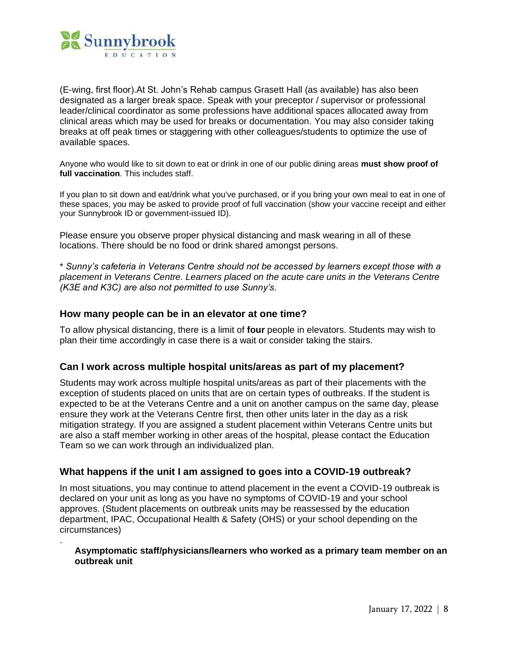

.

(E-wing, first floor).At St. John's Rehab campus Grasett Hall (as available) has also been designated as a larger break space. Speak with your preceptor / supervisor or professional leader/clinical coordinator as some professions have additional spaces allocated away from clinical areas which may be used for breaks or documentation. You may also consider taking breaks at off peak times or staggering with other colleagues/students to optimize the use of available spaces.

Anyone who would like to sit down to eat or drink in one of our public dining areas **must show proof of full vaccination**. This includes staff.

If you plan to sit down and eat/drink what you've purchased, or if you bring your own meal to eat in one of these spaces, you may be asked to provide proof of full vaccination (show your vaccine receipt and either your Sunnybrook ID or government-issued ID).

Please ensure you observe proper physical distancing and mask wearing in all of these locations. There should be no food or drink shared amongst persons.

\* *Sunny's cafeteria in Veterans Centre should not be accessed by learners except those with a placement in Veterans Centre. Learners placed on the acute care units in the Veterans Centre (K3E and K3C) are also not permitted to use Sunny's.*

#### **How many people can be in an elevator at one time?**

To allow physical distancing, there is a limit of **four** people in elevators. Students may wish to plan their time accordingly in case there is a wait or consider taking the stairs.

#### **Can I work across multiple hospital units/areas as part of my placement?**

Students may work across multiple hospital units/areas as part of their placements with the exception of students placed on units that are on certain types of outbreaks. If the student is expected to be at the Veterans Centre and a unit on another campus on the same day, please ensure they work at the Veterans Centre first, then other units later in the day as a risk mitigation strategy. If you are assigned a student placement within Veterans Centre units but are also a staff member working in other areas of the hospital, please contact the Education Team so we can work through an individualized plan.

#### **What happens if the unit I am assigned to goes into a COVID-19 outbreak?**

In most situations, you may continue to attend placement in the event a COVID-19 outbreak is declared on your unit as long as you have no symptoms of COVID-19 and your school approves. (Student placements on outbreak units may be reassessed by the education department, IPAC, Occupational Health & Safety (OHS) or your school depending on the circumstances)

#### **Asymptomatic staff/physicians/learners who worked as a primary team member on an outbreak unit**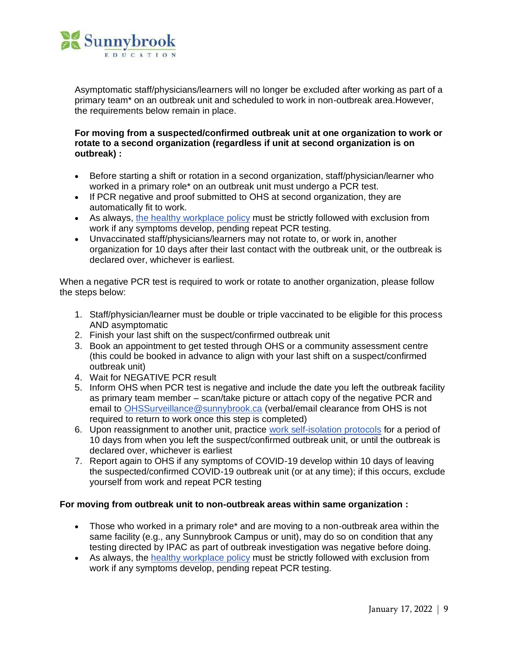

Asymptomatic staff/physicians/learners will no longer be excluded after working as part of a primary team\* on an outbreak unit and scheduled to work in non-outbreak area.However, the requirements below remain in place.

#### **For moving from a suspected/confirmed outbreak unit at one organization to work or rotate to a second organization (regardless if unit at second organization is on outbreak) :**

- Before starting a shift or rotation in a second organization, staff/physician/learner who worked in a primary role\* on an outbreak unit must undergo a PCR test.
- If PCR negative and proof submitted to OHS at second organization, they are automatically fit to work.
- As always, the healthy [workplace](https://sunnynet.ca/default.aspx?cid=101207) policy must be strictly followed with exclusion from work if any symptoms develop, pending repeat PCR testing.
- Unvaccinated staff/physicians/learners may not rotate to, or work in, another organization for 10 days after their last contact with the outbreak unit, or the outbreak is declared over, whichever is earliest.

When a negative PCR test is required to work or rotate to another organization, please follow the steps below:

- 1. Staff/physician/learner must be double or triple vaccinated to be eligible for this process AND asymptomatic
- 2. Finish your last shift on the suspect/confirmed outbreak unit
- 3. Book an appointment to get tested through OHS or a community assessment centre (this could be booked in advance to align with your last shift on a suspect/confirmed outbreak unit)
- 4. Wait for NEGATIVE PCR result
- 5. Inform OHS when PCR test is negative and include the date you left the outbreak facility as primary team member – scan/take picture or attach copy of the negative PCR and email to [OHSSurveillance@sunnybrook.ca](mailto:OHSSurveillance@sunnybrook.ca) (verbal/email clearance from OHS is not required to return to work once this step is completed)
- 6. Upon reassignment to another unit, practice work [self-isolation](https://sunnynet.ca/data/1/rec_docs/36750_ipac-covid-19-work-self-isolation_Jan-3-2022.pdf) protocols for a period of 10 days from when you left the suspect/confirmed outbreak unit, or until the outbreak is declared over, whichever is earliest
- 7. Report again to OHS if any symptoms of COVID-19 develop within 10 days of leaving the suspected/confirmed COVID-19 outbreak unit (or at any time); if this occurs, exclude yourself from work and repeat PCR testing

#### **For moving from outbreak unit to non-outbreak areas within same organization :**

- Those who worked in a primary role\* and are moving to a non-outbreak area within the same facility (e.g., any Sunnybrook Campus or unit), may do so on condition that any testing directed by IPAC as part of outbreak investigation was negative before doing.
- As always, the healthy [workplace](https://sunnynet.ca/default.aspx?cid=101207) policy must be strictly followed with exclusion from work if any symptoms develop, pending repeat PCR testing.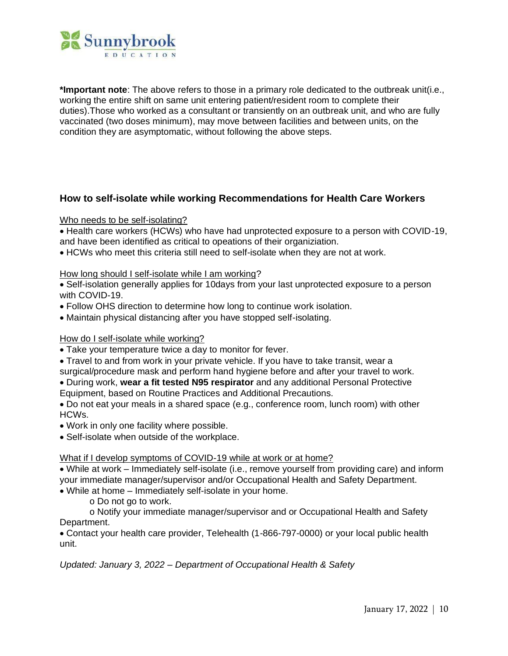

<span id="page-9-0"></span>**\*Important note**: The above refers to those in a primary role dedicated to the outbreak unit(i.e., working the entire shift on same unit entering patient/resident room to complete their duties).Those who worked as a consultant or transiently on an outbreak unit, and who are fully vaccinated (two doses minimum), may move between facilities and between units, on the condition they are asymptomatic, without following the above steps.

# **How to self-isolate while working Recommendations for Health Care Workers**

#### Who needs to be self-isolating?

• Health care workers (HCWs) who have had unprotected exposure to a person with COVID-19, and have been identified as critical to opeations of their organiziation.

• HCWs who meet this criteria still need to self-isolate when they are not at work.

#### How long should I self-isolate while I am working?

• Self-isolation generally applies for 10days from your last unprotected exposure to a person with COVID-19.

- Follow OHS direction to determine how long to continue work isolation.
- Maintain physical distancing after you have stopped self-isolating.

#### How do I self-isolate while working?

- Take your temperature twice a day to monitor for fever.
- Travel to and from work in your private vehicle. If you have to take transit, wear a
- surgical/procedure mask and perform hand hygiene before and after your travel to work.
- During work, **wear a fit tested N95 respirator** and any additional Personal Protective
- Equipment, based on Routine Practices and Additional Precautions.

• Do not eat your meals in a shared space (e.g., conference room, lunch room) with other HCWs.

- Work in only one facility where possible.
- Self-isolate when outside of the workplace.

#### What if I develop symptoms of COVID-19 while at work or at home?

• While at work – Immediately self-isolate (i.e., remove yourself from providing care) and inform your immediate manager/supervisor and/or Occupational Health and Safety Department.

• While at home – Immediately self-isolate in your home.

o Do not go to work.

o Notify your immediate manager/supervisor and or Occupational Health and Safety Department.

• Contact your health care provider, Telehealth (1-866-797-0000) or your local public health unit.

*Updated: January 3, 2022 – Department of Occupational Health & Safety*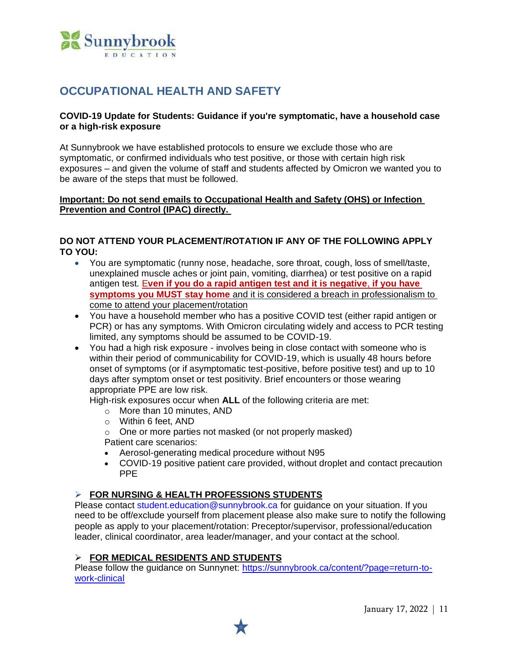

# **OCCUPATIONAL HEALTH AND SAFETY**

#### **COVID-19 Update for Students: Guidance if you're symptomatic, have a household case or a high-risk exposure**

At Sunnybrook we have established protocols to ensure we exclude those who are symptomatic, or confirmed individuals who test positive, or those with certain high risk exposures – and given the volume of staff and students affected by Omicron we wanted you to be aware of the steps that must be followed.

#### **Important: Do not send emails to Occupational Health and Safety (OHS) or Infection Prevention and Control (IPAC) directly.**

### **DO NOT ATTEND YOUR PLACEMENT/ROTATION IF ANY OF THE FOLLOWING APPLY TO YOU:**

- You are symptomatic (runny nose, headache, sore throat, cough, loss of smell/taste, unexplained muscle aches or joint pain, vomiting, diarrhea) or test positive on a rapid antigen test. E**ven if you do a rapid antigen test and it is negative**, **if you have symptoms you MUST stay home** and it is considered a breach in professionalism to come to attend your placement/rotation
- You have a household member who has a positive COVID test (either rapid antigen or PCR) or has any symptoms. With Omicron circulating widely and access to PCR testing limited, any symptoms should be assumed to be COVID-19.
- You had a high risk exposure involves being in close contact with someone who is within their period of communicability for COVID-19, which is usually 48 hours before onset of symptoms (or if asymptomatic test-positive, before positive test) and up to 10 days after symptom onset or test positivity. Brief encounters or those wearing appropriate PPE are low risk.

High-risk exposures occur when **ALL** of the following criteria are met:

- o More than 10 minutes, AND
- o Within 6 feet, AND
- o One or more parties not masked (or not properly masked) Patient care scenarios:
- Aerosol-generating medical procedure without N95
- COVID-19 positive patient care provided, without droplet and contact precaution PPE

# ➢ **FOR NURSING & HEALTH PROFESSIONS STUDENTS**

Please contact [student.education@sunnybrook.ca](mailto:student.education@sunnybrook.ca) for guidance on your situation. If you need to be off/exclude yourself from placement please also make sure to notify the following people as apply to your placement/rotation: Preceptor/supervisor, professional/education leader, clinical coordinator, area leader/manager, and your contact at the school.

#### ➢ **FOR MEDICAL RESIDENTS AND STUDENTS**

Please follow the guidance on Sunnynet: [https://sunnybrook.ca/content/?page=return-to](https://sunnybrook.ca/content/?page=return-to-work-clinical)[work-clinical](https://sunnybrook.ca/content/?page=return-to-work-clinical)

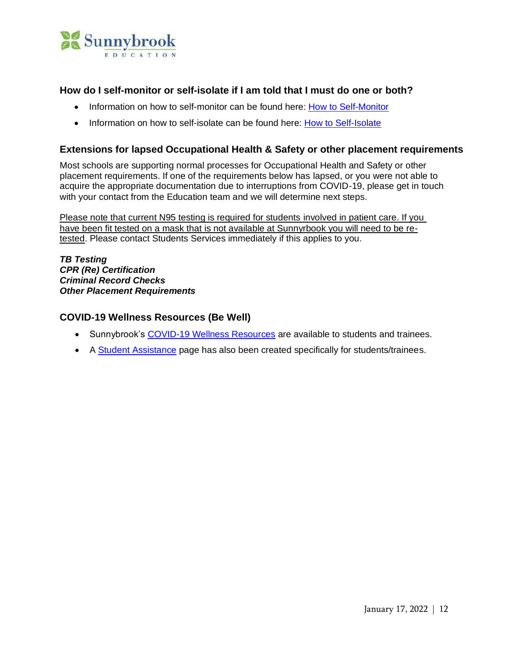

# **How do I self-monitor or self-isolate if I am told that I must do one or both?**

- Information on how to self-monitor can be found here: [How to Self-Monitor](https://www.publichealthontario.ca/-/media/documents/ncov/factsheet-covid-19-self-monitor.pdf?la=en)
- Information on how to self-isolate can be found here: [How to Self-Isolate](https://www.publichealthontario.ca/-/media/documents/ncov/factsheet-covid-19-how-to-self-isolate.pdf?la=en)

# **Extensions for lapsed Occupational Health & Safety or other placement requirements**

Most schools are supporting normal processes for Occupational Health and Safety or other placement requirements. If one of the requirements below has lapsed, or you were not able to acquire the appropriate documentation due to interruptions from COVID-19, please get in touch with your contact from the Education team and we will determine next steps.

Please note that current N95 testing is required for students involved in patient care. If you have been fit tested on a mask that is not available at Sunnyrbook you will need to be retested. Please contact Students Services immediately if this applies to you.

*TB Testing CPR (Re) Certification Criminal Record Checks Other Placement Requirements*

# **COVID-19 Wellness Resources (Be Well)**

- Sunnybrook's [COVID-19 Wellness Resources](https://sunnybrook.ca/content/?page=be-well-covid-19) are available to students and trainees.
- A [Student Assistance](file://///Users/katherine/Desktop/•https:/sunnybrook.ca/education/content/%253fpage=education-%20student-assistance) page has also been created specifically for students/trainees.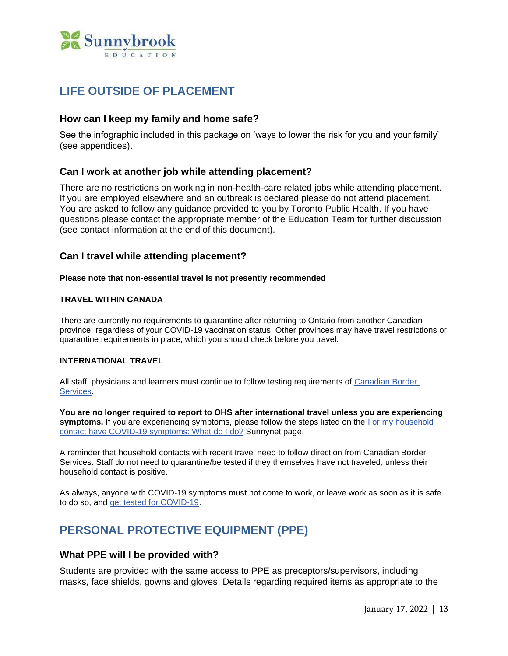

# <span id="page-12-0"></span>**LIFE OUTSIDE OF PLACEMENT**

### **How can I keep my family and home safe?**

See the infographic included in this package on 'ways to lower the risk for you and your family' (see appendices).

# **Can I work at another job while attending placement?**

There are no restrictions on working in non-health-care related jobs while attending placement. If you are employed elsewhere and an outbreak is declared please do not attend placement. You are asked to follow any guidance provided to you by Toronto Public Health. If you have questions please contact the appropriate member of the Education Team for further discussion (see contact information at the end of this document).

# **Can I travel while attending placement?**

#### **Please note that non-essential travel is not presently recommended**

#### **TRAVEL WITHIN CANADA**

There are currently no requirements to quarantine after returning to Ontario from another Canadian province, regardless of your COVID-19 vaccination status. Other provinces may have travel restrictions or quarantine requirements in place, which you should check before you travel.

#### **INTERNATIONAL TRAVEL**

All staff, physicians and learners must continue to follow testing requirements of [Canadian](https://www.cbsa-asfc.gc.ca/services/covid/menu-eng.html) Border [Services.](https://www.cbsa-asfc.gc.ca/services/covid/menu-eng.html)

**You are no longer required to report to OHS after international travel unless you are experiencing symptoms.** If you are experiencing symptoms, please follow the steps listed on the I or my [household](https://sunnynet.ca/Default.aspx?cid=130292&lang=1) contact have COVID-19 [symptoms:](https://sunnynet.ca/Default.aspx?cid=130292&lang=1) What do I do? Sunnynet page.

A reminder that household contacts with recent travel need to follow direction from Canadian Border Services. Staff do not need to quarantine/be tested if they themselves have not traveled, unless their household contact is positive.

As always, anyone with COVID-19 symptoms must not come to work, or leave work as soon as it is safe to do so, and get tested for [COVID-19.](https://sunnynet.ca/default.aspx?cid=130310)

# <span id="page-12-1"></span>**PERSONAL PROTECTIVE EQUIPMENT (PPE)**

#### **What PPE will I be provided with?**

Students are provided with the same access to PPE as preceptors/supervisors, including masks, face shields, gowns and gloves. Details regarding required items as appropriate to the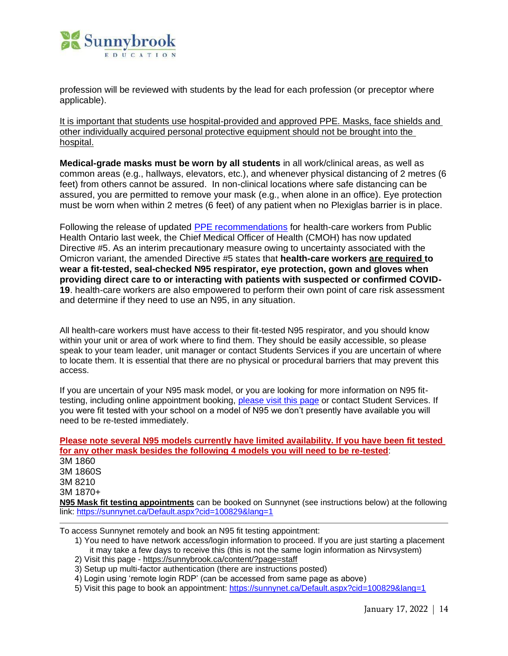

profession will be reviewed with students by the lead for each profession (or preceptor where applicable).

It is important that students use hospital-provided and approved PPE. Masks, face shields and other individually acquired personal protective equipment should not be brought into the hospital.

**Medical-grade masks must be worn by all students** in all work/clinical areas, as well as common areas (e.g., hallways, elevators, etc.), and whenever physical distancing of 2 metres (6 feet) from others cannot be assured. In non-clinical locations where safe distancing can be assured, you are permitted to remove your mask (e.g., when alone in an office). Eye protection must be worn when within 2 metres (6 feet) of any patient when no Plexiglas barrier is in place.

Following the release of updated [PPE recommendations](https://sunnynet.ca/Default.aspx?cid=134319&lang=1) for health-care workers from Public Health Ontario last week, the Chief Medical Officer of Health (CMOH) has now updated Directive #5. As an interim precautionary measure owing to uncertainty associated with the Omicron variant, the amended Directive #5 states that **health-care workers are required to wear a fit-tested, seal-checked N95 respirator, eye protection, gown and gloves when providing direct care to or interacting with patients with suspected or confirmed COVID-19**. health-care workers are also empowered to perform their own point of care risk assessment and determine if they need to use an N95, in any situation.

All health-care workers must have access to their fit-tested N95 respirator, and you should know within your unit or area of work where to find them. They should be easily accessible, so please speak to your team leader, unit manager or contact Students Services if you are uncertain of where to locate them. It is essential that there are no physical or procedural barriers that may prevent this access.

If you are uncertain of your N95 mask model, or you are looking for more information on N95 fittesting, including online appointment booking, [please visit this page](https://sunnynet.ca/Default.aspx?cid=100829&lang=1) or contact Student Services. If you were fit tested with your school on a model of N95 we don't presently have available you will need to be re-tested immediately.

**Please note several N95 models currently have limited availability. If you have been fit tested for any other mask besides the following 4 models you will need to be re-tested**: 3M 1860 3M 1860S 3M 8210 3M 1870+ **N95 Mask fit testing appointments** can be booked on Sunnynet (see instructions below) at the following link: [https://sunnynet.ca/Default.aspx?cid=100829&lang=1](https://urldefense.com/v3/__https:/sunnynet.ca/Default.aspx?cid=100829&lang=1__;!!Ibyq0D7xP3j_!7rJC_wGpASv9BU4yH9uKpUr3yMQWDm8O2_KzUQvpbEfLIfjg9FtDHhLr3IthtHsnz4McOMpslP3z$)

To access Sunnynet remotely and book an N95 fit testing appointment:

1) You need to have network access/login information to proceed. If you are just starting a placement it may take a few days to receive this (this is not the same login information as Nirvsystem)

2) Visit this page - [https://sunnybrook.ca/content/?page=staff](https://urldefense.com/v3/__https:/can01.safelinks.protection.outlook.com/?url=https*3A*2F*2Fsunnybrook.ca*2Fcontent*2F*3Fpage*3Dstaff&data=04*7C01*7Cmaddie.skidmore*40mail.utoronto.ca*7C724643daf8334f186f0b08d9cf8e2ef7*7C78aac2262f034b4d9037b46d56c55210*7C0*7C0*7C637769031846275383*7CUnknown*7CTWFpbGZsb3d8eyJWIjoiMC4wLjAwMDAiLCJQIjoiV2luMzIiLCJBTiI6Ik1haWwiLCJXVCI6Mn0*3D*7C3000&sdata=X4H*2BRTfgOMNauPs*2BHC5B5NB8oafD7Qx7g0mQWc1F9tE*3D&reserved=0__;JSUlJSUlJSUlJSUlJSUlJSUlJSUlJQ!!Ibyq0D7xP3j_!5RWsgjH2mKNJRxpJljU_8WXRiU4rBaZNAnFtvLDUYVPRXWzX9eylwcXdsOnll6G_ln4-pu93RFsM$)

- 3) Setup up multi-factor authentication (there are instructions posted)
- 4) Login using 'remote login RDP' (can be accessed from same page as above)
- 5) Visit this page to book an appointment: [https://sunnynet.ca/Default.aspx?cid=100829&lang=1](https://urldefense.com/v3/__https:/sunnynet.ca/Default.aspx?cid=100829&lang=1__;!!Ibyq0D7xP3j_!7rJC_wGpASv9BU4yH9uKpUr3yMQWDm8O2_KzUQvpbEfLIfjg9FtDHhLr3IthtHsnz4McOMpslP3z$)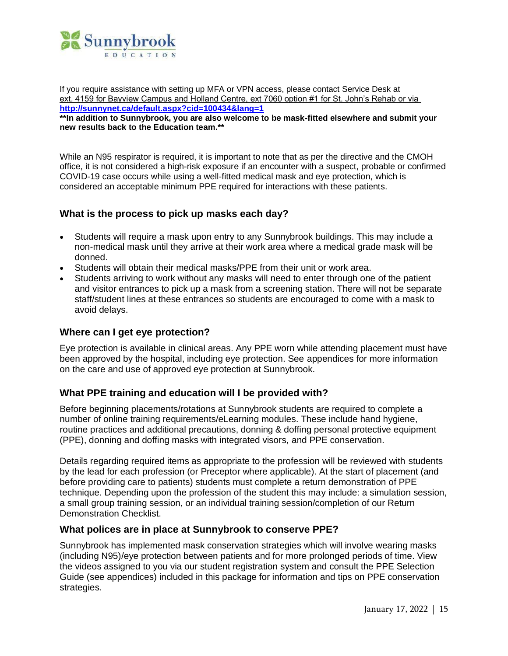

If you require assistance with setting up MFA or VPN access, please contact Service Desk at ext. 4159 for Bayview Campus and Holland Centre, ext 7060 option #1 for St. John's Rehab or via **[http://sunnynet.ca/default.aspx?cid=100434&lang=1](https://urldefense.com/v3/__https:/can01.safelinks.protection.outlook.com/?url=https*3A*2F*2Furldefense.com*2Fv3*2F__https*3A*2Fcan01.safelinks.protection.outlook.com*2F*3Furl*3Dhttp*3A*2F*2Fsunnynet.ca*2Fdefault.aspx*3Fcid*3D100434*26lang*3D1*23_blank*26data*3D04*7C01*7Crumia.owaisi*40mail.utoronto.ca*7C5ba730564cbd4d04ef5e08d9cf96ae6d*7C78aac2262f034b4d9037b46d56c55210*7C0*7C0*7C637769068355201497*7CUnknown*7CTWFpbGZsb3d8eyJWIjoiMC4wLjAwMDAiLCJQIjoiV2luMzIiLCJBTiI6Ik1haWwiLCJXVCI6Mn0*3D*7C3000*26sdata*3DPeNeN7h0pZjW4KNJFzq7uSarYCJywvAK4IV7GVX3eoM*3D*26reserved*3D0__*3BJSUlJSUlJSUlJSUlJSUlJSUlJSUlJQ!!Ibyq0D7xP3j_!8tT6AEwVtEZatkYfSw1G8HUF1w3ABuYZLM6WfoUNWksWqCpfDjGFkpHeShqrtvGeNO6SE4XjEJzS*24&data=04*7C01*7Crumia.owaisi*40mail.utoronto.ca*7C49653649721f454e87c108d9cfb28ce2*7C78aac2262f034b4d9037b46d56c55210*7C0*7C0*7C637769188051175150*7CUnknown*7CTWFpbGZsb3d8eyJWIjoiMC4wLjAwMDAiLCJQIjoiV2luMzIiLCJBTiI6Ik1haWwiLCJXVCI6Mn0*3D*7C3000&sdata=eY02pHmtsLWk*2FONWHNS47WSXGk4wBM2JvR7AadL3OuQ*3D&reserved=0__;JSUlJSUlJSUlJSoqKioqKioqKiUlKioqKioqKioqKioqJSUqJSUlJSUlJSUlJSUlJSUlJSUl!!Ibyq0D7xP3j_!4i1GiVSOBEZJDG1KTXc1eLEv4VgBKsf4z6a_9_g3vV7O-8KugxGMz9Ce4h-MZ01R-taV1CA2fjC3$)**

**\*\*In addition to Sunnybrook, you are also welcome to be mask-fitted elsewhere and submit your new results back to the Education team.\*\***

While an N95 respirator is required, it is important to note that as per the directive and the CMOH office, it is not considered a high-risk exposure if an encounter with a suspect, probable or confirmed COVID-19 case occurs while using a well-fitted medical mask and eye protection, which is considered an acceptable minimum PPE required for interactions with these patients.

# **What is the process to pick up masks each day?**

- Students will require a mask upon entry to any Sunnybrook buildings. This may include a non-medical mask until they arrive at their work area where a medical grade mask will be donned.
- Students will obtain their medical masks/PPE from their unit or work area.
- Students arriving to work without any masks will need to enter through one of the patient and visitor entrances to pick up a mask from a screening station. There will not be separate staff/student lines at these entrances so students are encouraged to come with a mask to avoid delays.

#### **Where can I get eye protection?**

Eye protection is available in clinical areas. Any PPE worn while attending placement must have been approved by the hospital, including eye protection. See appendices for more information on the care and use of approved eye protection at Sunnybrook.

#### **What PPE training and education will I be provided with?**

Before beginning placements/rotations at Sunnybrook students are required to complete a number of online training requirements/eLearning modules. These include hand hygiene, routine practices and additional precautions, donning & doffing personal protective equipment (PPE), donning and doffing masks with integrated visors, and PPE conservation.

Details regarding required items as appropriate to the profession will be reviewed with students by the lead for each profession (or Preceptor where applicable). At the start of placement (and before providing care to patients) students must complete a return demonstration of PPE technique. Depending upon the profession of the student this may include: a simulation session, a small group training session, or an individual training session/completion of our Return Demonstration Checklist.

#### **What polices are in place at Sunnybrook to conserve PPE?**

Sunnybrook has implemented mask conservation strategies which will involve wearing masks (including N95)/eye protection between patients and for more prolonged periods of time. View the videos assigned to you via our student registration system and consult the PPE Selection Guide (see appendices) included in this package for information and tips on PPE conservation strategies.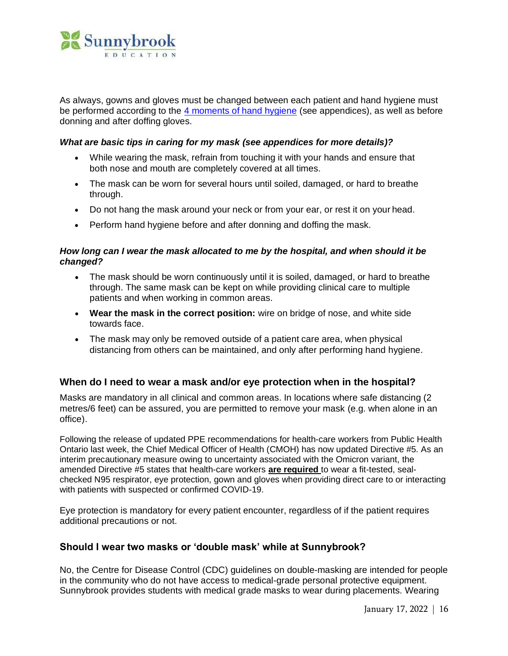

As always, gowns and gloves must be changed between each patient and hand hygiene must be performed according to the [4 moments of hand hygiene](https://www.publichealthontario.ca/-/media/documents/9/2008/4-moments-poster-series.pdf?la=en) (see appendices), as well as before donning and after doffing gloves.

#### *What are basic tips in caring for my mask (see appendices for more details)?*

- While wearing the mask, refrain from touching it with your hands and ensure that both nose and mouth are completely covered at all times.
- The mask can be worn for several hours until soiled, damaged, or hard to breathe through.
- Do not hang the mask around your neck or from your ear, or rest it on your head.
- Perform hand hygiene before and after donning and doffing the mask.

#### *How long can I wear the mask allocated to me by the hospital, and when should it be changed?*

- The mask should be worn continuously until it is soiled, damaged, or hard to breathe through. The same mask can be kept on while providing clinical care to multiple patients and when working in common areas.
- **Wear the mask in the correct position:** wire on bridge of nose, and white side towards face.
- The mask may only be removed outside of a patient care area, when physical distancing from others can be maintained, and only after performing hand hygiene.

#### **When do I need to wear a mask and/or eye protection when in the hospital?**

Masks are mandatory in all clinical and common areas. In locations where safe distancing (2 metres/6 feet) can be assured, you are permitted to remove your mask (e.g. when alone in an office).

Following the release of updated PPE recommendations for health-care workers from Public Health Ontario last week, the Chief Medical Officer of Health (CMOH) has now updated Directive #5. As an interim precautionary measure owing to uncertainty associated with the Omicron variant, the amended Directive #5 states that health-care workers **are required** to wear a fit-tested, sealchecked N95 respirator, eye protection, gown and gloves when providing direct care to or interacting with patients with suspected or confirmed COVID-19.

Eye protection is mandatory for every patient encounter, regardless of if the patient requires additional precautions or not.

#### **Should I wear two masks or 'double mask' while at Sunnybrook?**

No, the Centre for Disease Control (CDC) guidelines on double-masking are intended for people in the community who do not have access to medical-grade personal protective equipment. Sunnybrook provides students with medical grade masks to wear during placements. Wearing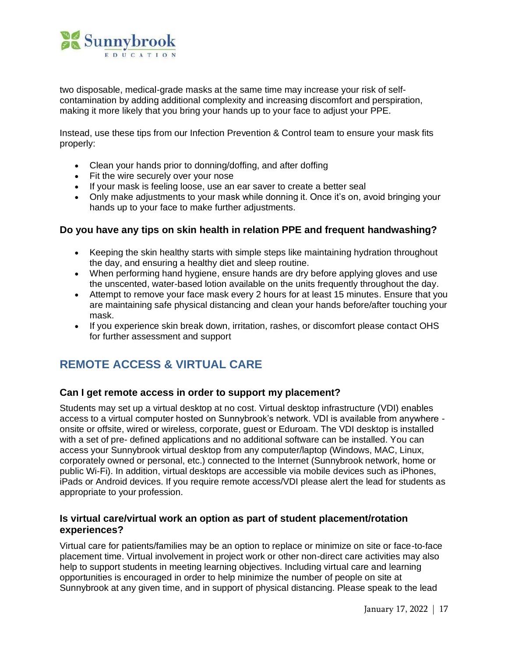

two disposable, medical-grade masks at the same time may increase your risk of selfcontamination by adding additional complexity and increasing discomfort and perspiration, making it more likely that you bring your hands up to your face to adjust your PPE.

Instead, use these tips from our Infection Prevention & Control team to ensure your mask fits properly:

- Clean your hands prior to donning/doffing, and after doffing
- Fit the wire securely over your nose
- If your mask is feeling loose, use an ear saver to create a better seal
- Only make adjustments to your mask while donning it. Once it's on, avoid bringing your hands up to your face to make further adjustments.

#### **Do you have any tips on skin health in relation PPE and frequent handwashing?**

- Keeping the skin healthy starts with simple steps like maintaining hydration throughout the day, and ensuring a healthy diet and sleep routine.
- When performing hand hygiene, ensure hands are dry before applying gloves and use the unscented, water-based lotion available on the units frequently throughout the day.
- Attempt to remove your face mask every 2 hours for at least 15 minutes. Ensure that you are maintaining safe physical distancing and clean your hands before/after touching your mask.
- If you experience skin break down, irritation, rashes, or discomfort please contact OHS for further assessment and support

# <span id="page-16-0"></span>**REMOTE ACCESS & VIRTUAL CARE**

#### **Can I get remote access in order to support my placement?**

Students may set up a virtual desktop at no cost. Virtual desktop infrastructure (VDI) enables access to a virtual computer hosted on Sunnybrook's network. VDI is available from anywhere onsite or offsite, wired or wireless, corporate, guest or Eduroam. The VDI desktop is installed with a set of pre- defined applications and no additional software can be installed. You can access your Sunnybrook virtual desktop from any computer/laptop (Windows, MAC, Linux, corporately owned or personal, etc.) connected to the Internet (Sunnybrook network, home or public Wi-Fi). In addition, virtual desktops are accessible via mobile devices such as iPhones, iPads or Android devices. If you require remote access/VDI please alert the lead for students as appropriate to your profession.

# **Is virtual care/virtual work an option as part of student placement/rotation experiences?**

Virtual care for patients/families may be an option to replace or minimize on site or face-to-face placement time. Virtual involvement in project work or other non-direct care activities may also help to support students in meeting learning objectives. Including virtual care and learning opportunities is encouraged in order to help minimize the number of people on site at Sunnybrook at any given time, and in support of physical distancing. Please speak to the lead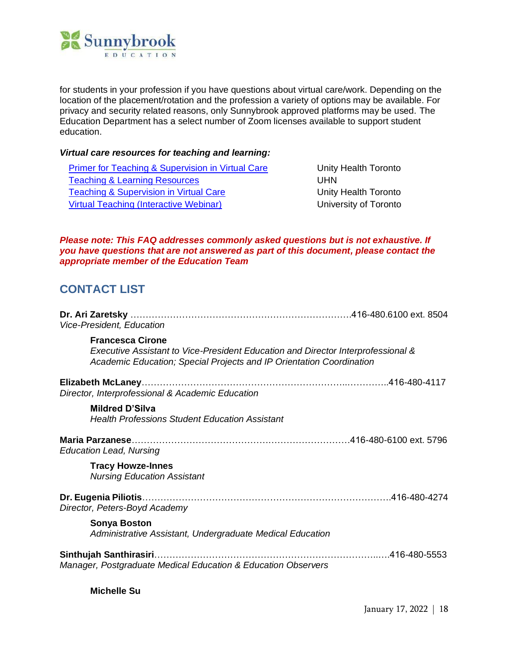

for students in your profession if you have questions about virtual care/work. Depending on the location of the placement/rotation and the profession a variety of options may be available. For privacy and security related reasons, only Sunnybrook approved platforms may be used. The Education Department has a select number of Zoom licenses available to support student education.

#### *Virtual care resources for teaching and learning:*

[Primer for Teaching & Supervision in Virtual Care](https://resources-for-online-teaching-and-learning.webnode.com/_files/200000022-98f0d98f0f/Primer%20-%20Teaching%20and%20Supervision%20in%20Virtual%20Care_18jun20.pdf) **Unity Health Toronto** [Teaching & Learning Resources](https://www.uhn.ca/Education/COVID-19-teaching-learning-resources) UHN [Teaching & Supervision in Virtual Care](https://resources-for-online-teaching-and-learning.webnode.com/supervision-virtual-care/) The Muslem Controller Unity Health Toronto [Virtual Teaching \(Interactive Webinar\)](https://www.cpd.utoronto.ca/covid19-resource/virtual-teaching-interactive-webinar/) Virtual Teaching (Interactive Webinar)

#### *Please note: This FAQ addresses commonly asked questions but is not exhaustive. If you have questions that are not answered as part of this document, please contact the appropriate member of the Education Team*

# <span id="page-17-0"></span>**CONTACT LIST**

| Vice-President, Education                                                                                                                                                           |  |
|-------------------------------------------------------------------------------------------------------------------------------------------------------------------------------------|--|
| <b>Francesca Cirone</b><br>Executive Assistant to Vice-President Education and Director Interprofessional &<br>Academic Education; Special Projects and IP Orientation Coordination |  |
| Director, Interprofessional & Academic Education                                                                                                                                    |  |
| Mildred D'Silva<br><b>Health Professions Student Education Assistant</b>                                                                                                            |  |
| <b>Education Lead, Nursing</b>                                                                                                                                                      |  |
| <b>Tracy Howze-Innes</b><br><b>Nursing Education Assistant</b>                                                                                                                      |  |
| Director, Peters-Boyd Academy                                                                                                                                                       |  |
| <b>Sonya Boston</b><br>Administrative Assistant, Undergraduate Medical Education                                                                                                    |  |
| Sinthujah Santhirasiri.<br>Manager, Postgraduate Medical Education & Education Observers                                                                                            |  |

**Michelle Su**